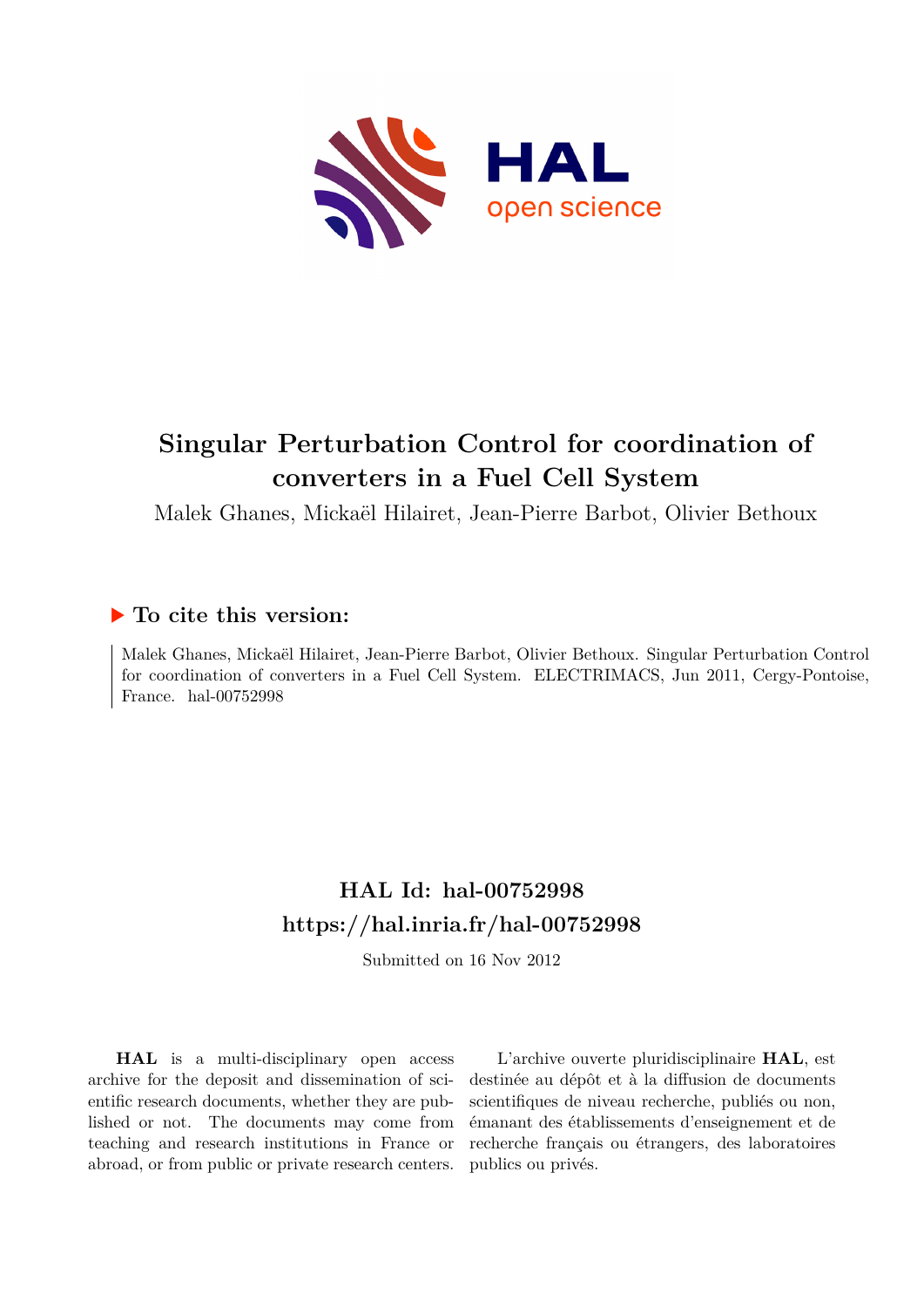

# **Singular Perturbation Control for coordination of converters in a Fuel Cell System**

Malek Ghanes, Mickaël Hilairet, Jean-Pierre Barbot, Olivier Bethoux

# **To cite this version:**

Malek Ghanes, Mickaël Hilairet, Jean-Pierre Barbot, Olivier Bethoux. Singular Perturbation Control for coordination of converters in a Fuel Cell System. ELECTRIMACS, Jun 2011, Cergy-Pontoise, France. hal- $00752998$ 

# **HAL Id: hal-00752998 <https://hal.inria.fr/hal-00752998>**

Submitted on 16 Nov 2012

**HAL** is a multi-disciplinary open access archive for the deposit and dissemination of scientific research documents, whether they are published or not. The documents may come from teaching and research institutions in France or abroad, or from public or private research centers.

L'archive ouverte pluridisciplinaire **HAL**, est destinée au dépôt et à la diffusion de documents scientifiques de niveau recherche, publiés ou non, émanant des établissements d'enseignement et de recherche français ou étrangers, des laboratoires publics ou privés.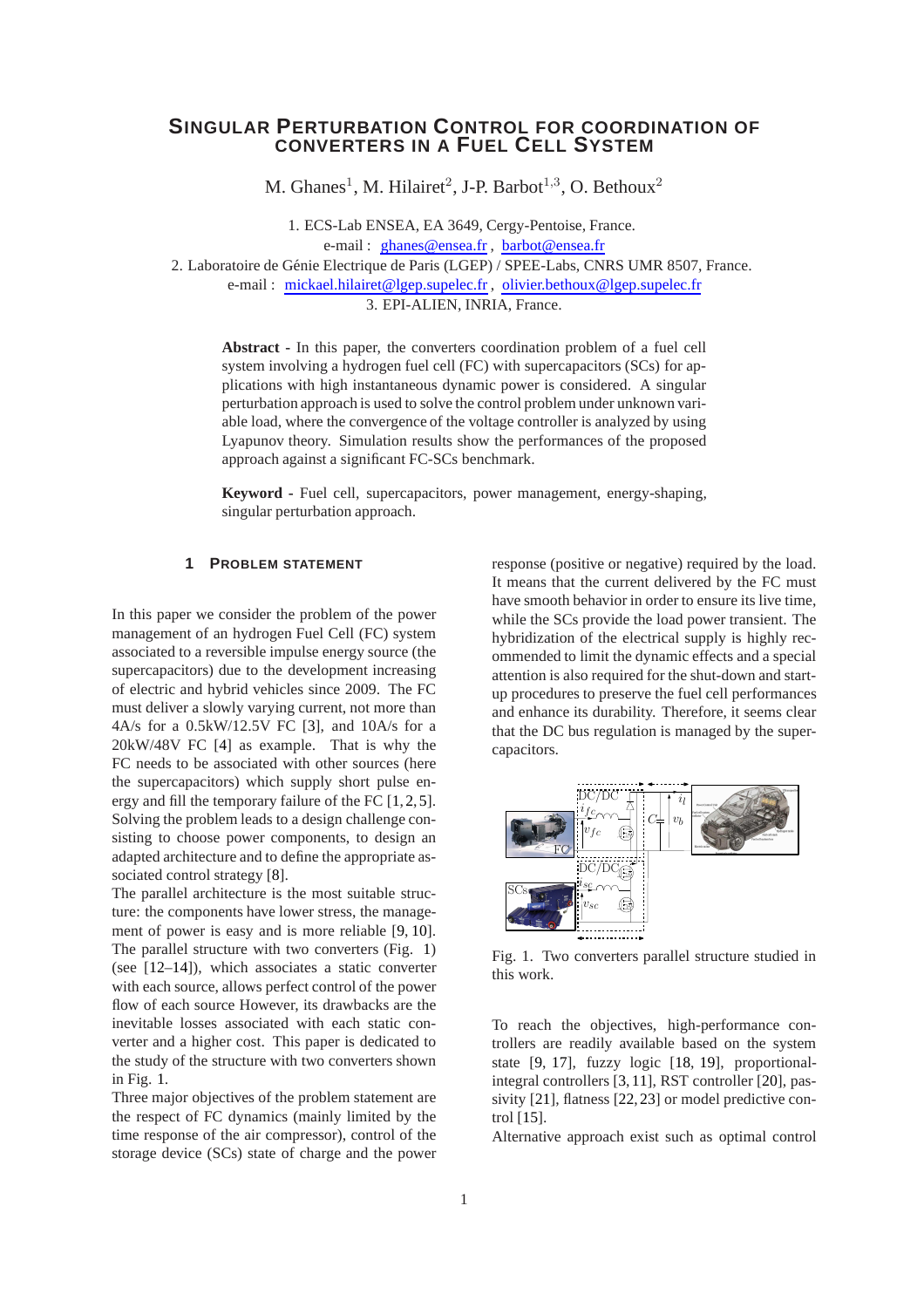# **SINGULAR PERTURBATION CONTROL FOR COORDINATION OF CONVERTERS IN A FUEL CELL SYSTEM**

M. Ghanes<sup>1</sup>, M. Hilairet<sup>2</sup>, J-P. Barbot<sup>1,3</sup>, O. Bethoux<sup>2</sup>

1. ECS-Lab ENSEA, EA 3649, Cergy-Pentoise, France.

e-mail : [ghanes@ensea.fr](mailto:malek.ghanes@ensea.fr) , [barbot@ensea.fr](mailto:jean-pierre.barbot@ensea.fr)

2. Laboratoire de Génie Electrique de Paris (LGEP) / SPEE-Labs, CNRS UMR 8507, France.

e-mail : [mickael.hilairet@lgep.supelec.fr](mailto:mickael.hilairet@lgep.supelec.fr) , [olivier.bethoux@lgep.supelec.fr](mailto:olivier.bethoux@lgep.supelec.fr)

3. EPI-ALIEN, INRIA, France.

**Abstract -** In this paper, the converters coordination problem of a fuel cell system involving a hydrogen fuel cell (FC) with supercapacitors (SCs) for applications with high instantaneous dynamic power is considered. A singular perturbation approach is used to solve the control problem under unknown variable load, where the convergence of the voltage controller is analyzed by using Lyapunov theory. Simulation results show the performances of the proposed approach against a significant FC-SCs benchmark.

**Keyword -** Fuel cell, supercapacitors, power management, energy-shaping, singular perturbation approach.

### **1 PROBLEM STATEMENT**

In this paper we consider the problem of the power management of an hydrogen Fuel Cell (FC) system associated to a reversible impulse energy source (the supercapacitors) due to the development increasing of electric and hybrid vehicles since 2009. The FC must deliver a slowly varying current, not more than 4A/s for a 0.5kW/12.5V FC [\[3\]](#page-6-0), and 10A/s for a 20kW/48V FC [\[4\]](#page-6-1) as example. That is why the FC needs to be associated with other sources (here the supercapacitors) which supply short pulse energy and fill the temporary failure of the FC [\[1,](#page-6-2) [2,](#page-6-3) [5\]](#page-6-4). Solving the problem leads to a design challenge consisting to choose power components, to design an adapted architecture and to define the appropriate associated control strategy [\[8\]](#page-6-5).

The parallel architecture is the most suitable structure: the components have lower stress, the management of power is easy and is more reliable [\[9,](#page-6-6) [10\]](#page-6-7). The parallel structure with two converters (Fig. [1\)](#page-1-0) (see [\[12–](#page-6-8)[14\]](#page-7-0)), which associates a static converter with each source, allows perfect control of the power flow of each source However, its drawbacks are the inevitable losses associated with each static converter and a higher cost. This paper is dedicated to the study of the structure with two converters shown in Fig. [1.](#page-1-0)

Three major objectives of the problem statement are the respect of FC dynamics (mainly limited by the time response of the air compressor), control of the storage device (SCs) state of charge and the power response (positive or negative) required by the load. It means that the current delivered by the FC must have smooth behavior in order to ensure its live time, while the SCs provide the load power transient. The hybridization of the electrical supply is highly recommended to limit the dynamic effects and a special attention is also required for the shut-down and startup procedures to preserve the fuel cell performances and enhance its durability. Therefore, it seems clear that the DC bus regulation is managed by the supercapacitors.



<span id="page-1-0"></span>Fig. 1. Two converters parallel structure studied in this work.

To reach the objectives, high-performance controllers are readily available based on the system state [\[9,](#page-6-6) [17\]](#page-7-1), fuzzy logic [\[18,](#page-7-2) [19\]](#page-7-3), proportionalintegral controllers [\[3,](#page-6-0) [11\]](#page-6-9), RST controller [\[20\]](#page-7-4), passivity [\[21\]](#page-7-5), flatness [\[22,](#page-7-6)[23\]](#page-7-7) or model predictive control [\[15\]](#page-7-8).

Alternative approach exist such as optimal control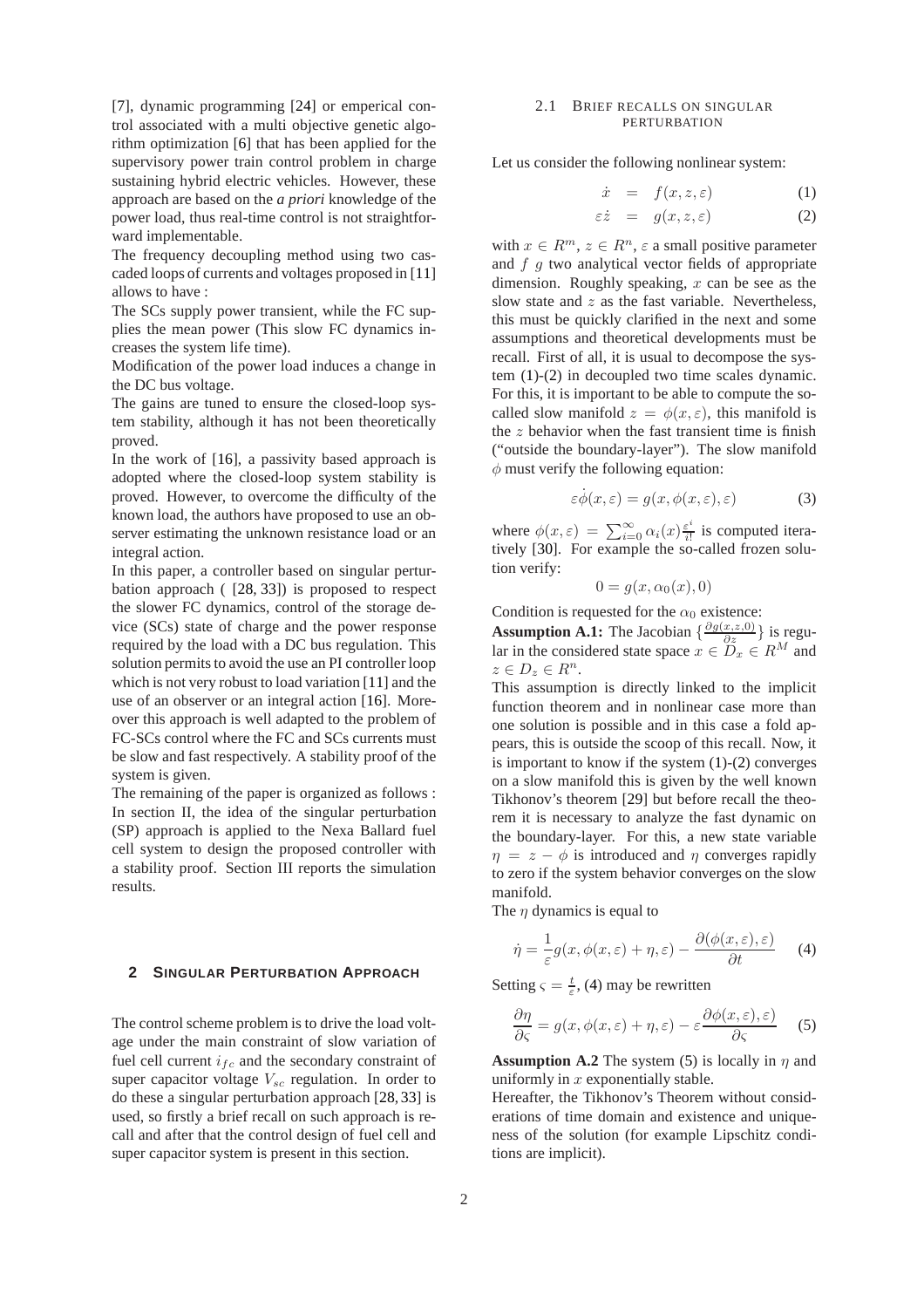[\[7\]](#page-6-10), dynamic programming [\[24\]](#page-7-9) or emperical control associated with a multi objective genetic algorithm optimization [\[6\]](#page-6-11) that has been applied for the supervisory power train control problem in charge sustaining hybrid electric vehicles. However, these approach are based on the *a priori* knowledge of the power load, thus real-time control is not straightforward implementable.

The frequency decoupling method using two cascaded loops of currents and voltages proposed in [\[11\]](#page-6-9) allows to have :

The SCs supply power transient, while the FC supplies the mean power (This slow FC dynamics increases the system life time).

Modification of the power load induces a change in the DC bus voltage.

The gains are tuned to ensure the closed-loop system stability, although it has not been theoretically proved.

In the work of [\[16\]](#page-7-10), a passivity based approach is adopted where the closed-loop system stability is proved. However, to overcome the difficulty of the known load, the authors have proposed to use an observer estimating the unknown resistance load or an integral action.

In this paper, a controller based on singular perturbation approach ( [\[28,](#page-7-11) [33\]](#page-7-12)) is proposed to respect the slower FC dynamics, control of the storage device (SCs) state of charge and the power response required by the load with a DC bus regulation. This solution permits to avoid the use an PI controller loop which is not very robust to load variation [\[11\]](#page-6-9) and the use of an observer or an integral action [\[16\]](#page-7-10). Moreover this approach is well adapted to the problem of FC-SCs control where the FC and SCs currents must be slow and fast respectively. A stability proof of the system is given.

The remaining of the paper is organized as follows : In section II, the idea of the singular perturbation (SP) approach is applied to the Nexa Ballard fuel cell system to design the proposed controller with a stability proof. Section III reports the simulation results.

#### **2 SINGULAR PERTURBATION APPROACH**

The control scheme problem is to drive the load voltage under the main constraint of slow variation of fuel cell current  $i_{fc}$  and the secondary constraint of super capacitor voltage  $V_{sc}$  regulation. In order to do these a singular perturbation approach [\[28,](#page-7-11) [33\]](#page-7-12) is used, so firstly a brief recall on such approach is recall and after that the control design of fuel cell and super capacitor system is present in this section.

#### 2.1 BRIEF RECALLS ON SINGULAR PERTURBATION

Let us consider the following nonlinear system:

<span id="page-2-0"></span>
$$
\dot{x} = f(x, z, \varepsilon) \tag{1}
$$

$$
\varepsilon \dot{z} = g(x, z, \varepsilon) \tag{2}
$$

with  $x \in R^m$ ,  $z \in R^n$ ,  $\varepsilon$  a small positive parameter and  $f \, g$  two analytical vector fields of appropriate dimension. Roughly speaking,  $x$  can be see as the slow state and  $z$  as the fast variable. Nevertheless, this must be quickly clarified in the next and some assumptions and theoretical developments must be recall. First of all, it is usual to decompose the system [\(1\)](#page-2-0)-[\(2\)](#page-2-0) in decoupled two time scales dynamic. For this, it is important to be able to compute the socalled slow manifold  $z = \phi(x, \varepsilon)$ , this manifold is the  $z$  behavior when the fast transient time is finish ("outside the boundary-layer"). The slow manifold  $\phi$  must verify the following equation:

$$
\dot{\varepsilon}\dot{\phi}(x,\varepsilon) = g(x,\phi(x,\varepsilon),\varepsilon) \tag{3}
$$

where  $\phi(x,\varepsilon) = \sum_{i=0}^{\infty} \alpha_i(x) \frac{\varepsilon^i}{i!}$  $\frac{\varepsilon^2}{i!}$  is computed iteratively [\[30\]](#page-7-13). For example the so-called frozen solution verify:

$$
0 = g(x, \alpha_0(x), 0)
$$

Condition is requested for the  $\alpha_0$  existence:

**Assumption A.1:** The Jacobian  $\{\frac{\partial g(x, z, 0)}{\partial z}\}\)$  is regular in the considered state space  $x \in \widetilde{D}_x \in R^M$  and  $z \in D_z \in R^n$ .

This assumption is directly linked to the implicit function theorem and in nonlinear case more than one solution is possible and in this case a fold appears, this is outside the scoop of this recall. Now, it is important to know if the system [\(1\)](#page-2-0)-[\(2\)](#page-2-0) converges on a slow manifold this is given by the well known Tikhonov's theorem [\[29\]](#page-7-14) but before recall the theorem it is necessary to analyze the fast dynamic on the boundary-layer. For this, a new state variable  $\eta = z - \phi$  is introduced and  $\eta$  converges rapidly to zero if the system behavior converges on the slow manifold.

The  $n$  dynamics is equal to

<span id="page-2-2"></span><span id="page-2-1"></span>
$$
\dot{\eta} = \frac{1}{\varepsilon} g(x, \phi(x, \varepsilon) + \eta, \varepsilon) - \frac{\partial(\phi(x, \varepsilon), \varepsilon)}{\partial t} \tag{4}
$$

Setting  $\varsigma = \frac{t}{\varepsilon}$ , [\(4\)](#page-2-1) may be rewritten

$$
\frac{\partial \eta}{\partial \varsigma} = g(x, \phi(x, \varepsilon) + \eta, \varepsilon) - \varepsilon \frac{\partial \phi(x, \varepsilon), \varepsilon)}{\partial \varsigma}
$$
 (5)

**Assumption A.2** The system [\(5\)](#page-2-2) is locally in  $\eta$  and uniformly in  $x$  exponentially stable.

<span id="page-2-3"></span>Hereafter, the Tikhonov's Theorem without considerations of time domain and existence and uniqueness of the solution (for example Lipschitz conditions are implicit).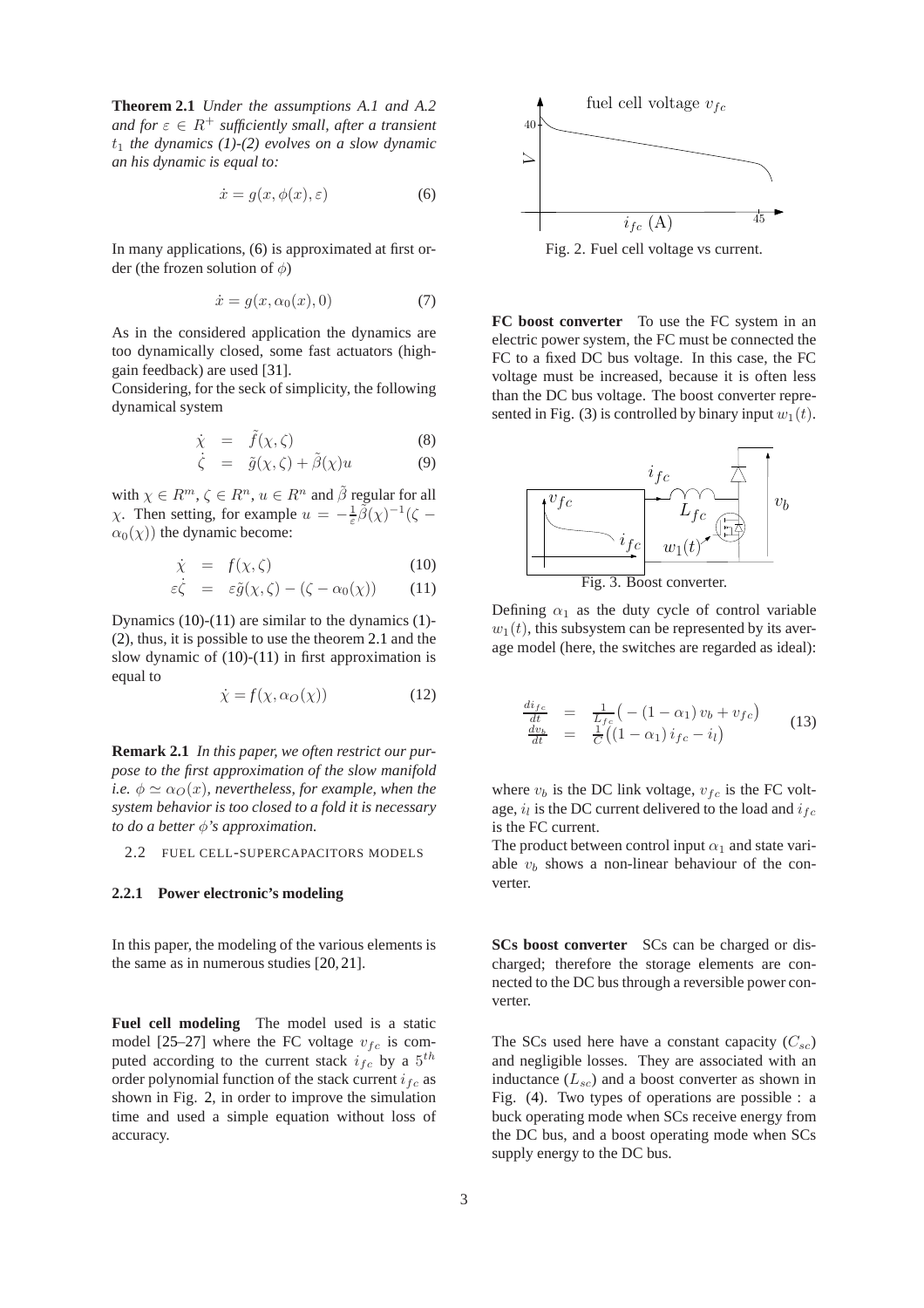**Theorem 2.1** *Under the assumptions A.1 and A.2 and for*  $\varepsilon \in R^+$  *sufficiently small, after a transient*  $t_1$  *the dynamics* [\(1\)](#page-2-0)-[\(2\)](#page-2-0) evolves on a slow dynamic *an his dynamic is equal to:*

<span id="page-3-0"></span>
$$
\dot{x} = g(x, \phi(x), \varepsilon) \tag{6}
$$

In many applications, [\(6\)](#page-3-0) is approximated at first order (the frozen solution of  $\phi$ )

<span id="page-3-4"></span>
$$
\dot{x} = g(x, \alpha_0(x), 0) \tag{7}
$$

As in the considered application the dynamics are too dynamically closed, some fast actuators (highgain feedback) are used [\[31\]](#page-7-15).

Considering, for the seck of simplicity, the following dynamical system

$$
\dot{\chi} = \tilde{f}(\chi, \zeta) \tag{8}
$$

$$
\dot{\zeta} = \tilde{g}(\chi, \zeta) + \tilde{\beta}(\chi)u \tag{9}
$$

with  $\chi \in R^m, \zeta \in R^n, u \in R^n$  and  $\tilde{\beta}$  regular for all  $\chi$ . Then setting, for example  $u = -\frac{1}{\varepsilon} \tilde{\beta}(\chi)^{-1} (\zeta - \zeta)$  $\alpha_0(\chi)$ ) the dynamic become:

<span id="page-3-1"></span>
$$
\dot{\chi} = f(\chi, \zeta) \tag{10}
$$

$$
\varepsilon \dot{\zeta} = \varepsilon \tilde{g}(\chi, \zeta) - (\zeta - \alpha_0(\chi)) \qquad (11)
$$

Dynamics [\(10\)](#page-3-1)-[\(11\)](#page-3-1) are similar to the dynamics [\(1\)](#page-2-0)- [\(2\)](#page-2-0), thus, it is possible to use the theorem [2.1](#page-2-3) and the slow dynamic of  $(10)-(11)$  $(10)-(11)$  in first approximation is equal to

$$
\dot{\chi} = f(\chi, \alpha_O(\chi)) \tag{12}
$$

**Remark 2.1** *In this paper, we often restrict our purpose to the first approximation of the slow manifold i.e.*  $\phi \simeq \alpha_O(x)$ *, nevertheless, for example, when the system behavior is too closed to a fold it is necessary to do a better* φ*'s approximation.*

2.2 FUEL CELL-SUPERCAPACITORS MODELS

#### **2.2.1 Power electronic's modeling**

In this paper, the modeling of the various elements is the same as in numerous studies [\[20,](#page-7-4) [21\]](#page-7-5).

**Fuel cell modeling** The model used is a static model [\[25](#page-7-16)[–27\]](#page-7-17) where the FC voltage  $v_{fc}$  is computed according to the current stack  $i_{fc}$  by a  $5^{th}$ order polynomial function of the stack current  $i_{fc}$  as shown in Fig. [2,](#page-3-2) in order to improve the simulation time and used a simple equation without loss of accuracy.



<span id="page-3-2"></span>**FC boost converter** To use the FC system in an electric power system, the FC must be connected the FC to a fixed DC bus voltage. In this case, the FC voltage must be increased, because it is often less than the DC bus voltage. The boost converter repre-sented in Fig. [\(3\)](#page-3-3) is controlled by binary input  $w_1(t)$ .



<span id="page-3-3"></span>Defining  $\alpha_1$  as the duty cycle of control variable  $w_1(t)$ , this subsystem can be represented by its average model (here, the switches are regarded as ideal):

$$
\frac{di_{fc}}{dt} = \frac{1}{L_{fc}} \left( -(1 - \alpha_1) v_b + v_{fc} \right)
$$
\n
$$
\frac{dv_b}{dt} = \frac{1}{C} \left( (1 - \alpha_1) i_{fc} - i_l \right)
$$
\n(13)

where  $v_b$  is the DC link voltage,  $v_{fc}$  is the FC voltage,  $i_l$  is the DC current delivered to the load and  $i_{fc}$ is the FC current.

The product between control input  $\alpha_1$  and state variable  $v<sub>b</sub>$  shows a non-linear behaviour of the converter.

**SCs boost converter** SCs can be charged or discharged; therefore the storage elements are connected to the DC bus through a reversible power converter.

The SCs used here have a constant capacity  $(C_{sc})$ and negligible losses. They are associated with an inductance  $(L_{sc})$  and a boost converter as shown in Fig. [\(4\)](#page-4-0). Two types of operations are possible : a buck operating mode when SCs receive energy from the DC bus, and a boost operating mode when SCs supply energy to the DC bus.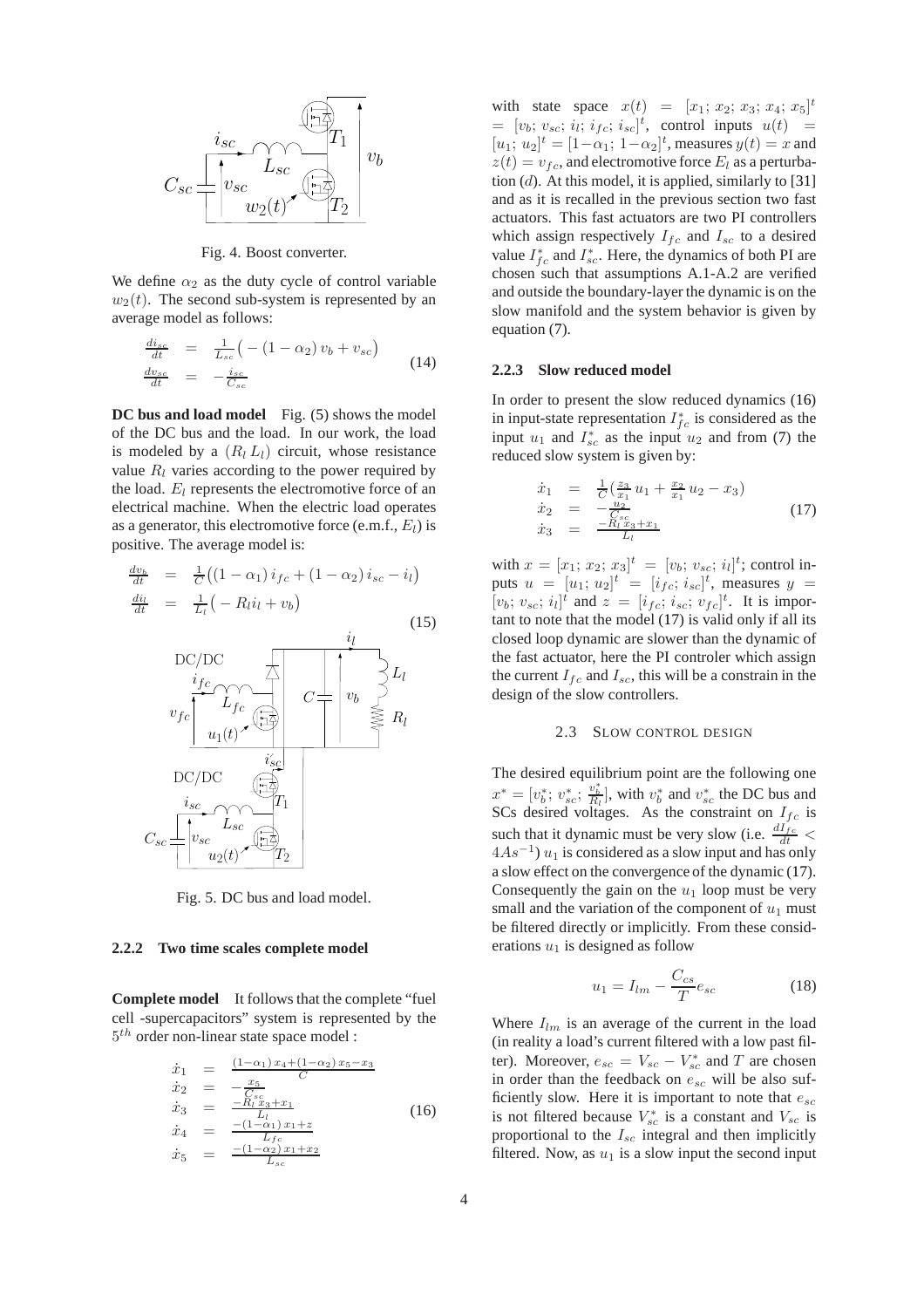

<span id="page-4-0"></span>Fig. 4. Boost converter.

We define  $\alpha_2$  as the duty cycle of control variable  $w_2(t)$ . The second sub-system is represented by an average model as follows:

$$
\frac{di_{sc}}{dt} = \frac{1}{L_{sc}} \left( -\left(1 - \alpha_2\right) v_b + v_{sc} \right)
$$
\n
$$
\frac{dv_{sc}}{dt} = -\frac{i_{sc}}{C_{sc}} \tag{14}
$$

**DC** bus and load model Fig. [\(5\)](#page-4-1) shows the model of the DC bus and the load. In our work, the load is modeled by a  $(R_l L_l)$  circuit, whose resistance value  $R_l$  varies according to the power required by the load.  $E_l$  represents the electromotive force of an electrical machine. When the electric load operates as a generator, this electromotive force (e.m.f.,  $E_l$ ) is positive. The average model is:

$$
\frac{dv_b}{dt} = \frac{1}{C} \left( \left( 1 - \alpha_1 \right) i_{fc} + \left( 1 - \alpha_2 \right) i_{sc} - i_l \right)
$$
\n
$$
\frac{di_l}{dt} = \frac{1}{L_l} \left( -R_l i_l + v_b \right) \tag{15}
$$



<span id="page-4-1"></span>Fig. 5. DC bus and load model.

#### **2.2.2 Two time scales complete model**

**Complete model** It follows that the complete "fuel cell -supercapacitors" system is represented by the  $5<sup>th</sup>$  order non-linear state space model :

$$
\dot{x}_1 = \frac{(1-\alpha_1)x_4 + (1-\alpha_2)x_5 - x_3}{C}
$$
\n
$$
\dot{x}_2 = -\frac{x_5}{C_{sc}}
$$
\n
$$
\dot{x}_3 = -\frac{R_L x_3 + x_1}{L_L}
$$
\n
$$
\dot{x}_4 = -\frac{(1-\alpha_1)x_1 + z}{L_L}
$$
\n
$$
\dot{x}_5 = -\frac{(1-\alpha_2)x_1 + x_2}{L_{sc}}
$$
\n(16)

with state space  $x(t) = [x_1; x_2; x_3; x_4; x_5]^t$  $= [v_b; v_{sc}; i_l; i_{fc}; i_{sc}]^t$ , control inputs  $u(t) =$  $[u_1; u_2]^t = [1 - \alpha_1; 1 - \alpha_2]^t$ , measures  $y(t) = x$  and  $z(t) = v_{fc}$ , and electromotive force  $E_l$  as a perturbation  $(d)$ . At this model, it is applied, similarly to [\[31\]](#page-7-15) and as it is recalled in the previous section two fast actuators. This fast actuators are two PI controllers which assign respectively  $I_{fc}$  and  $I_{sc}$  to a desired value  $I_{fc}^*$  and  $I_{sc}^*$ . Here, the dynamics of both PI are chosen such that assumptions A.1-A.2 are verified and outside the boundary-layer the dynamic is on the slow manifold and the system behavior is given by equation [\(7\)](#page-3-4).

## **2.2.3 Slow reduced model**

In order to present the slow reduced dynamics [\(16\)](#page-4-2) in input-state representation  $I_{fc}^*$  is considered as the input  $u_1$  and  $I_{sc}^*$  as the input  $u_2$  and from [\(7\)](#page-3-4) the reduced slow system is given by:

<span id="page-4-3"></span>
$$
\begin{array}{rcl}\n\dot{x}_1 &=& \frac{1}{C} \left( \frac{z_3}{x_1} u_1 + \frac{x_2}{x_1} u_2 - x_3 \right) \\
\dot{x}_2 &=& -\frac{u_2}{C_{sc}} \\
\dot{x}_3 &=& \frac{-R_t x_3 + x_1}{L_t}\n\end{array} \tag{17}
$$

with  $x = [x_1; x_2; x_3]^t = [v_b; v_{sc}; i_l]^t$ ; control inputs  $u = [u_1; u_2]^t = [i_{fc}; i_{sc}]^t$ , measures  $y =$  $[v_b; v_{sc}; i_l]^t$  and  $z = [i_{fc}; i_{sc}; v_{fc}]^t$ . It is important to note that the model [\(17\)](#page-4-3) is valid only if all its closed loop dynamic are slower than the dynamic of the fast actuator, here the PI controler which assign the current  $I_{fc}$  and  $I_{sc}$ , this will be a constrain in the design of the slow controllers.

#### 2.3 SLOW CONTROL DESIGN

The desired equilibrium point are the following one  $x^* = [v_b^*; v_{sc}^*, \frac{v_b^*}{R_l}]$ , with  $v_b^*$  and  $v_{sc}^*$  the DC bus and SCs desired voltages. As the constraint on  $I_{fc}$  is such that it dynamic must be very slow (i.e.  $\frac{dI_{fc}}{dt}$  <  $4As^{-1}$ )  $u_1$  is considered as a slow input and has only a slow effect on the convergence of the dynamic [\(17\)](#page-4-3). Consequently the gain on the  $u_1$  loop must be very small and the variation of the component of  $u_1$  must be filtered directly or implicitly. From these considerations  $u_1$  is designed as follow

<span id="page-4-4"></span>
$$
u_1 = I_{lm} - \frac{C_{cs}}{T} e_{sc}
$$
 (18)

<span id="page-4-2"></span>Where  $I_{lm}$  is an average of the current in the load (in reality a load's current filtered with a low past filter). Moreover,  $e_{sc} = V_{sc} - V_{sc}^*$  and T are chosen in order than the feedback on  $e_{sc}$  will be also sufficiently slow. Here it is important to note that  $e_{sc}$ is not filtered because  $V_{sc}^*$  is a constant and  $V_{sc}$  is proportional to the  $I_{sc}$  integral and then implicitly filtered. Now, as  $u_1$  is a slow input the second input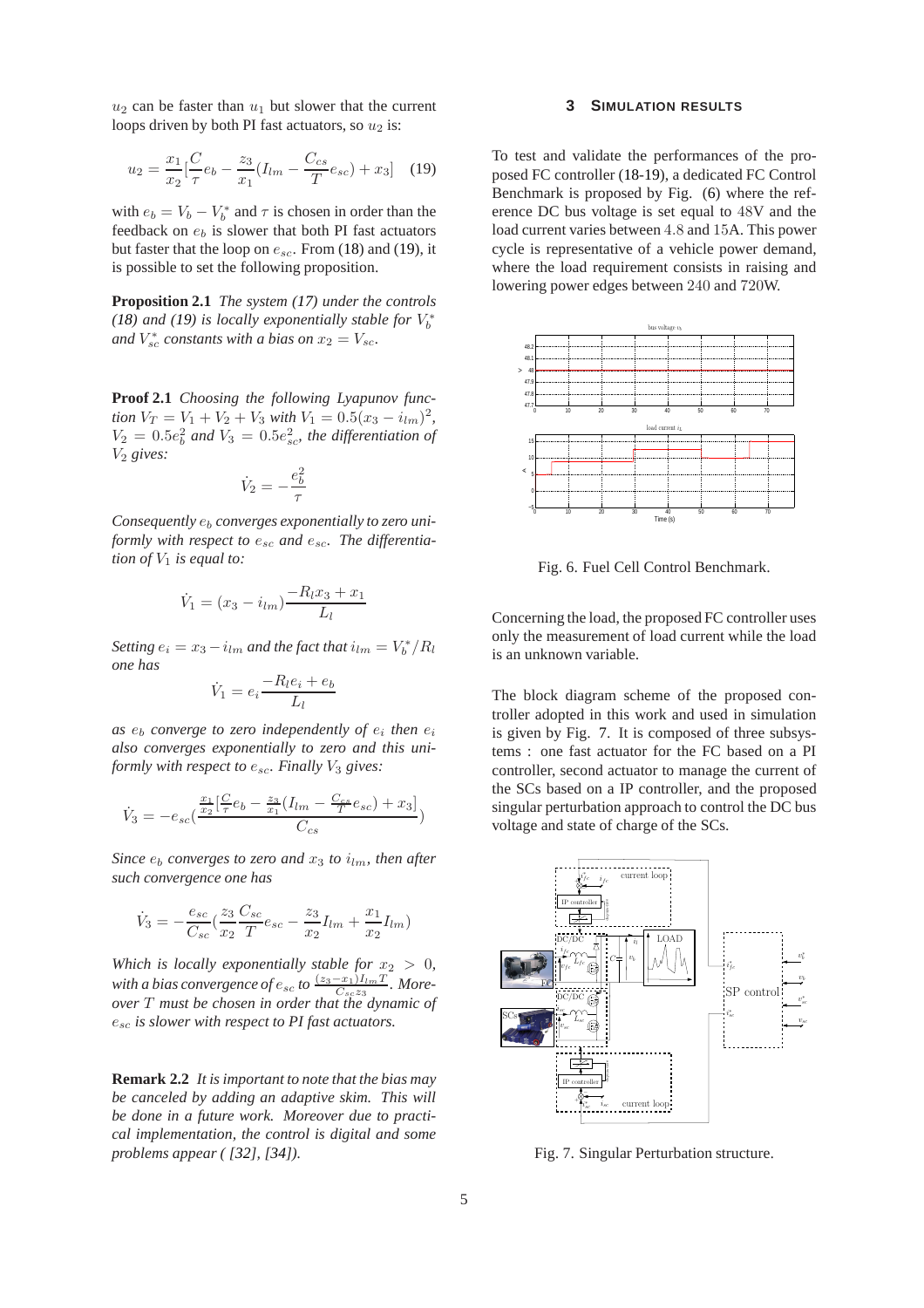$u_2$  can be faster than  $u_1$  but slower that the current loops driven by both PI fast actuators, so  $u_2$  is:

$$
u_2 = \frac{x_1}{x_2} \left[ \frac{C}{\tau} e_b - \frac{z_3}{x_1} (I_{lm} - \frac{C_{cs}}{T} e_{sc}) + x_3 \right]
$$
 (19)

with  $e_b = V_b - V_b^*$  and  $\tau$  is chosen in order than the feedback on  $e_b$  is slower that both PI fast actuators but faster that the loop on  $e_{sc}$ . From [\(18\)](#page-4-4) and [\(19\)](#page-5-0), it is possible to set the following proposition.

**Proposition 2.1** *The system [\(17\)](#page-4-3) under the controls*  $(18)$  and  $(19)$  is locally exponentially stable for  $V_b^*$ and  $V_{sc}^*$  constants with a bias on  $x_2 = V_{sc}$ .

**Proof 2.1** *Choosing the following Lyapunov function*  $V_T = V_1 + V_2 + V_3$  *with*  $V_1 = 0.5(x_3 - i_{lm})^2$ ,  $V_2 = 0.5e_b^2$  and  $V_3 = 0.5e_{sc}^2$ , the differentiation of  $V_2$  gives:

$$
\dot{V}_2 = -\frac{e_b^2}{\tau}
$$

*Consequently* e<sup>b</sup> *converges exponentially to zero uniformly with respect to*  $e_{sc}$  *and*  $e_{sc}$ . *The differentiation of*  $V_1$  *is equal to:* 

$$
\dot{V}_1 = (x_3 - i_{lm}) \frac{-R_l x_3 + x_1}{L_l}
$$

Setting  $e_i = x_3 - i_{lm}$  and the fact that  $i_{lm} = V_b^* / R_l$ *one has*

$$
\dot{V}_1 = e_i \frac{-R_l e_i + e_b}{L_l}
$$

as  $e_b$  *converge to zero independently of*  $e_i$  *then*  $e_i$ *also converges exponentially to zero and this uniformly with respect to*  $e_{sc}$ *. Finally*  $V_3$  *gives:* 

$$
\dot{V}_3 = -e_{sc}(\frac{\frac{x_1}{x_2}[\frac{C}{\tau}e_b - \frac{z_3}{x_1}(I_{lm} - \frac{C_{cs}}{T}e_{sc}) + x_3]}{C_{cs}})
$$

*Since*  $e_b$  *converges to zero and*  $x_3$  *to*  $i_{lm}$ *, then after such convergence one has*

$$
\dot{V}_3 = -\frac{e_{sc}}{C_{sc}} \left(\frac{z_3}{x_2} \frac{C_{sc}}{T} e_{sc} - \frac{z_3}{x_2} I_{lm} + \frac{x_1}{x_2} I_{lm}\right)
$$

*Which is locally exponentially stable for*  $x_2 > 0$ *, with a bias convergence of*  $e_{sc}$  *to*  $\frac{(z_3-x_1)I_{lm}T}{C_{cs}z_2}$ *. More-*Cscz<sup>3</sup> *over* T *must be chosen in order that the dynamic of* esc *is slower with respect to PI fast actuators.*

**Remark 2.2** *It is important to note that the bias may be canceled by adding an adaptive skim. This will be done in a future work. Moreover due to practical implementation, the control is digital and some problems appear ( [\[32\]](#page-7-18), [\[34\]](#page-7-19)).*

#### **3 SIMULATION RESULTS**

<span id="page-5-0"></span>To test and validate the performances of the proposed FC controller [\(18](#page-4-4)[-19\)](#page-5-0), a dedicated FC Control Benchmark is proposed by Fig. [\(6\)](#page-5-1) where the reference DC bus voltage is set equal to 48V and the load current varies between 4.8 and 15A. This power cycle is representative of a vehicle power demand, where the load requirement consists in raising and lowering power edges between 240 and 720W.



<span id="page-5-1"></span>Fig. 6. Fuel Cell Control Benchmark.

Concerning the load, the proposed FC controller uses only the measurement of load current while the load is an unknown variable.

The block diagram scheme of the proposed controller adopted in this work and used in simulation is given by Fig. [7.](#page-5-2) It is composed of three subsystems : one fast actuator for the FC based on a PI controller, second actuator to manage the current of the SCs based on a IP controller, and the proposed singular perturbation approach to control the DC bus voltage and state of charge of the SCs.



<span id="page-5-2"></span>Fig. 7. Singular Perturbation structure.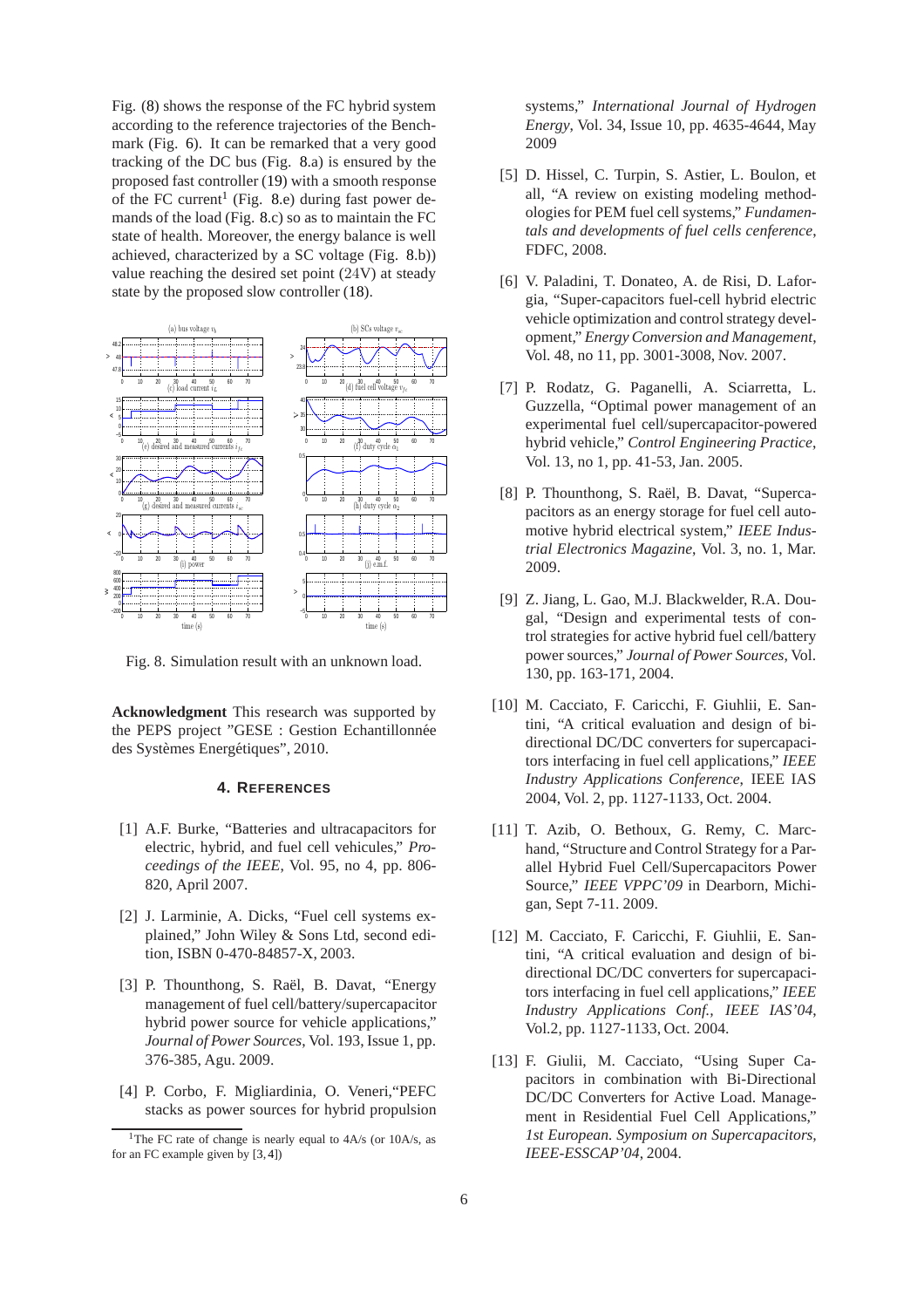Fig. [\(8\)](#page-6-12) shows the response of the FC hybrid system according to the reference trajectories of the Benchmark (Fig. [6\)](#page-5-1). It can be remarked that a very good tracking of the DC bus (Fig. [8.](#page-6-12)a) is ensured by the proposed fast controller [\(19\)](#page-5-0) with a smooth response of the FC current<sup>[1](#page-6-13)</sup> (Fig. [8.](#page-6-12)e) during fast power demands of the load (Fig. [8.](#page-6-12)c) so as to maintain the FC state of health. Moreover, the energy balance is well achieved, characterized by a SC voltage (Fig. [8.](#page-6-12)b)) value reaching the desired set point (24V) at steady state by the proposed slow controller [\(18\)](#page-4-4).



<span id="page-6-12"></span>Fig. 8. Simulation result with an unknown load.

**Acknowledgment** This research was supported by the PEPS project "GESE : Gestion Echantillonnée des Systèmes Energétiques", 2010.

### **4. REFERENCES**

- <span id="page-6-2"></span>[1] A.F. Burke, "Batteries and ultracapacitors for electric, hybrid, and fuel cell vehicules," *Proceedings of the IEEE*, Vol. 95, no 4, pp. 806- 820, April 2007.
- <span id="page-6-3"></span>[2] J. Larminie, A. Dicks, "Fuel cell systems explained," John Wiley & Sons Ltd, second edition, ISBN 0-470-84857-X, 2003.
- <span id="page-6-0"></span>[3] P. Thounthong, S. Raël, B. Davat, "Energy management of fuel cell/battery/supercapacitor hybrid power source for vehicle applications," *Journal of Power Sources*, Vol. 193, Issue 1, pp. 376-385, Agu. 2009.
- <span id="page-6-1"></span>[4] P. Corbo, F. Migliardinia, O. Veneri,"PEFC stacks as power sources for hybrid propulsion

systems," *International Journal of Hydrogen Energy*, Vol. 34, Issue 10, pp. 4635-4644, May 2009

- <span id="page-6-4"></span>[5] D. Hissel, C. Turpin, S. Astier, L. Boulon, et all, "A review on existing modeling methodologies for PEM fuel cell systems," *Fundamentals and developments of fuel cells cenference*, FDFC, 2008.
- <span id="page-6-11"></span>[6] V. Paladini, T. Donateo, A. de Risi, D. Laforgia, "Super-capacitors fuel-cell hybrid electric vehicle optimization and control strategy development," *Energy Conversion and Management*, Vol. 48, no 11, pp. 3001-3008, Nov. 2007.
- <span id="page-6-10"></span>[7] P. Rodatz, G. Paganelli, A. Sciarretta, L. Guzzella, "Optimal power management of an experimental fuel cell/supercapacitor-powered hybrid vehicle," *Control Engineering Practice*, Vol. 13, no 1, pp. 41-53, Jan. 2005.
- <span id="page-6-5"></span>[8] P. Thounthong, S. Raël, B. Davat, "Supercapacitors as an energy storage for fuel cell automotive hybrid electrical system," *IEEE Industrial Electronics Magazine*, Vol. 3, no. 1, Mar. 2009.
- <span id="page-6-6"></span>[9] Z. Jiang, L. Gao, M.J. Blackwelder, R.A. Dougal, "Design and experimental tests of control strategies for active hybrid fuel cell/battery power sources," *Journal of Power Sources*, Vol. 130, pp. 163-171, 2004.
- <span id="page-6-7"></span>[10] M. Cacciato, F. Caricchi, F. Giuhlii, E. Santini, "A critical evaluation and design of bidirectional DC/DC converters for supercapacitors interfacing in fuel cell applications," *IEEE Industry Applications Conference*, IEEE IAS 2004, Vol. 2, pp. 1127-1133, Oct. 2004.
- <span id="page-6-9"></span>[11] T. Azib, O. Bethoux, G. Remy, C. Marchand, "Structure and Control Strategy for a Parallel Hybrid Fuel Cell/Supercapacitors Power Source," *IEEE VPPC'09* in Dearborn, Michigan, Sept 7-11. 2009.
- <span id="page-6-8"></span>[12] M. Cacciato, F. Caricchi, F. Giuhlii, E. Santini, "A critical evaluation and design of bidirectional DC/DC converters for supercapacitors interfacing in fuel cell applications," *IEEE Industry Applications Conf., IEEE IAS'04*, Vol.2, pp. 1127-1133, Oct. 2004.
- [13] F. Giulii, M. Cacciato, "Using Super Capacitors in combination with Bi-Directional DC/DC Converters for Active Load. Management in Residential Fuel Cell Applications," *1st European. Symposium on Supercapacitors, IEEE-ESSCAP'04*, 2004.

<span id="page-6-13"></span><sup>&</sup>lt;sup>1</sup>The FC rate of change is nearly equal to  $4A/s$  (or  $10A/s$ , as for an FC example given by [\[3,](#page-6-0) [4\]](#page-6-1))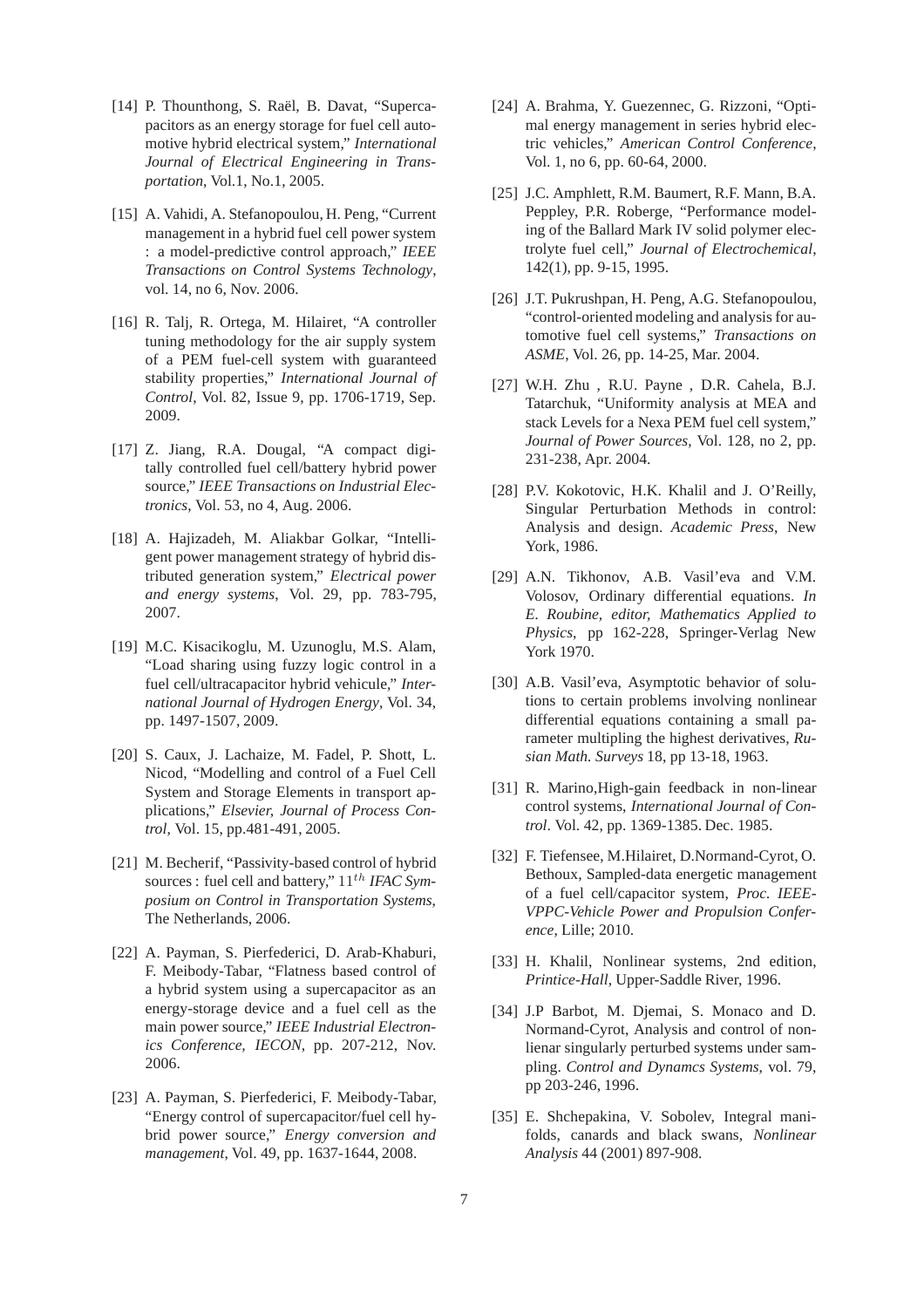- <span id="page-7-0"></span>[14] P. Thounthong, S. Raël, B. Davat, "Supercapacitors as an energy storage for fuel cell automotive hybrid electrical system," *International Journal of Electrical Engineering in Transportation*, Vol.1, No.1, 2005.
- <span id="page-7-8"></span>[15] A. Vahidi, A. Stefanopoulou, H. Peng, "Current management in a hybrid fuel cell power system : a model-predictive control approach," *IEEE Transactions on Control Systems Technology*, vol. 14, no 6, Nov. 2006.
- <span id="page-7-10"></span>[16] R. Talj, R. Ortega, M. Hilairet, "A controller tuning methodology for the air supply system of a PEM fuel-cell system with guaranteed stability properties," *International Journal of Control*, Vol. 82, Issue 9, pp. 1706-1719, Sep. 2009.
- <span id="page-7-1"></span>[17] Z. Jiang, R.A. Dougal, "A compact digitally controlled fuel cell/battery hybrid power source," *IEEE Transactions on Industrial Electronics*, Vol. 53, no 4, Aug. 2006.
- <span id="page-7-2"></span>[18] A. Hajizadeh, M. Aliakbar Golkar, "Intelligent power management strategy of hybrid distributed generation system," *Electrical power and energy systems*, Vol. 29, pp. 783-795, 2007.
- <span id="page-7-3"></span>[19] M.C. Kisacikoglu, M. Uzunoglu, M.S. Alam, "Load sharing using fuzzy logic control in a fuel cell/ultracapacitor hybrid vehicule," *International Journal of Hydrogen Energy*, Vol. 34, pp. 1497-1507, 2009.
- <span id="page-7-4"></span>[20] S. Caux, J. Lachaize, M. Fadel, P. Shott, L. Nicod, "Modelling and control of a Fuel Cell System and Storage Elements in transport applications," *Elsevier, Journal of Process Control*, Vol. 15, pp.481-491, 2005.
- <span id="page-7-5"></span>[21] M. Becherif, "Passivity-based control of hybrid sources : fuel cell and battery,"  $11^{th}$  *IFAC Symposium on Control in Transportation Systems*, The Netherlands, 2006.
- <span id="page-7-6"></span>[22] A. Payman, S. Pierfederici, D. Arab-Khaburi, F. Meibody-Tabar, "Flatness based control of a hybrid system using a supercapacitor as an energy-storage device and a fuel cell as the main power source," *IEEE Industrial Electronics Conference, IECON*, pp. 207-212, Nov. 2006.
- <span id="page-7-7"></span>[23] A. Payman, S. Pierfederici, F. Meibody-Tabar, "Energy control of supercapacitor/fuel cell hybrid power source," *Energy conversion and management*, Vol. 49, pp. 1637-1644, 2008.
- <span id="page-7-9"></span>[24] A. Brahma, Y. Guezennec, G. Rizzoni, "Optimal energy management in series hybrid electric vehicles," *American Control Conference*, Vol. 1, no 6, pp. 60-64, 2000.
- <span id="page-7-16"></span>[25] J.C. Amphlett, R.M. Baumert, R.F. Mann, B.A. Peppley, P.R. Roberge, "Performance modeling of the Ballard Mark IV solid polymer electrolyte fuel cell," *Journal of Electrochemical*, 142(1), pp. 9-15, 1995.
- [26] J.T. Pukrushpan, H. Peng, A.G. Stefanopoulou, "control-oriented modeling and analysis for automotive fuel cell systems," *Transactions on ASME*, Vol. 26, pp. 14-25, Mar. 2004.
- <span id="page-7-17"></span>[27] W.H. Zhu , R.U. Payne , D.R. Cahela, B.J. Tatarchuk, "Uniformity analysis at MEA and stack Levels for a Nexa PEM fuel cell system," *Journal of Power Sources*, Vol. 128, no 2, pp. 231-238, Apr. 2004.
- <span id="page-7-11"></span>[28] P.V. Kokotovic, H.K. Khalil and J. O'Reilly, Singular Perturbation Methods in control: Analysis and design. *Academic Press*, New York, 1986.
- <span id="page-7-14"></span>[29] A.N. Tikhonov, A.B. Vasil'eva and V.M. Volosov, Ordinary differential equations. *In E. Roubine, editor, Mathematics Applied to Physics*, pp 162-228, Springer-Verlag New York 1970.
- <span id="page-7-13"></span>[30] A.B. Vasil'eva, Asymptotic behavior of solutions to certain problems involving nonlinear differential equations containing a small parameter multipling the highest derivatives, *Rusian Math. Surveys* 18, pp 13-18, 1963.
- <span id="page-7-15"></span>[31] R. Marino, High-gain feedback in non-linear control systems, *International Journal of Control*. Vol. 42, pp. 1369-1385. Dec. 1985.
- <span id="page-7-18"></span>[32] F. Tiefensee, M.Hilairet, D.Normand-Cyrot, O. Bethoux, Sampled-data energetic management of a fuel cell/capacitor system, *Proc. IEEE-VPPC-Vehicle Power and Propulsion Conference*, Lille; 2010.
- <span id="page-7-12"></span>[33] H. Khalil, Nonlinear systems, 2nd edition, *Printice-Hall*, Upper-Saddle River, 1996.
- <span id="page-7-19"></span>[34] J.P Barbot, M. Djemai, S. Monaco and D. Normand-Cyrot, Analysis and control of nonlienar singularly perturbed systems under sampling. *Control and Dynamcs Systems*, vol. 79, pp 203-246, 1996.
- [35] E. Shchepakina, V. Sobolev, Integral manifolds, canards and black swans, *Nonlinear Analysis* 44 (2001) 897-908.